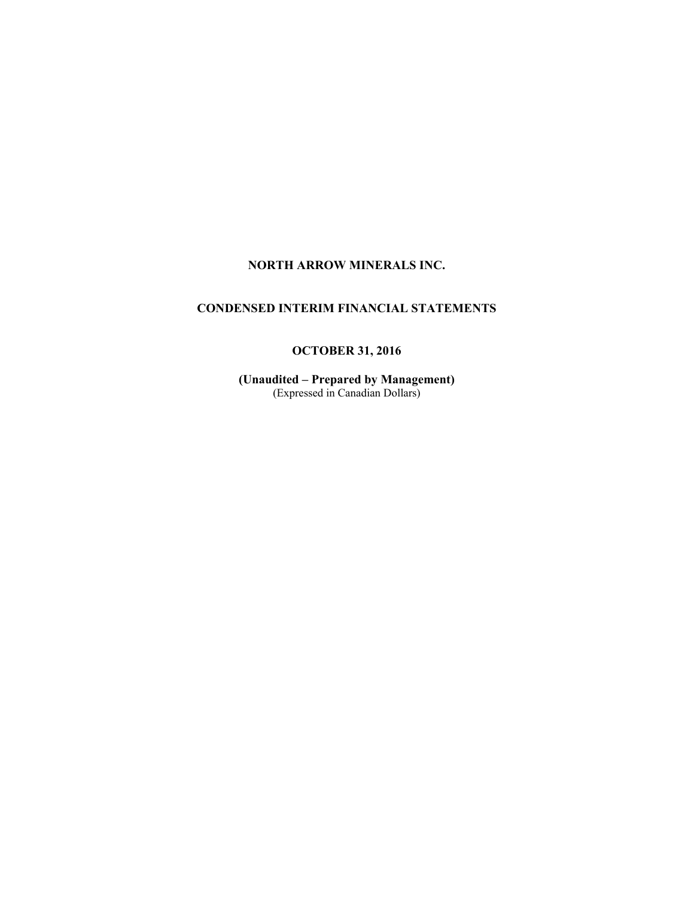# **NORTH ARROW MINERALS INC.**

# **CONDENSED INTERIM FINANCIAL STATEMENTS**

# **OCTOBER 31, 2016**

**(Unaudited – Prepared by Management)**  (Expressed in Canadian Dollars)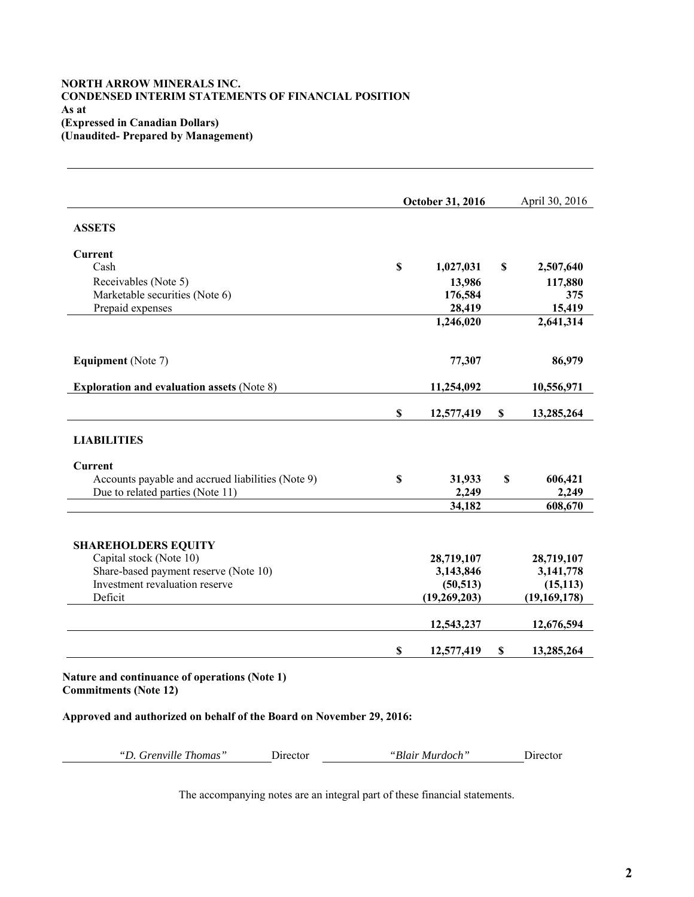### **NORTH ARROW MINERALS INC. CONDENSED INTERIM STATEMENTS OF FINANCIAL POSITION As at (Expressed in Canadian Dollars) (Unaudited- Prepared by Management)**

|                                                   | October 31, 2016 |             | April 30, 2016 |
|---------------------------------------------------|------------------|-------------|----------------|
| <b>ASSETS</b>                                     |                  |             |                |
| Current                                           |                  |             |                |
| Cash                                              | \$<br>1,027,031  | \$          | 2,507,640      |
| Receivables (Note 5)                              | 13,986           |             | 117,880        |
| Marketable securities (Note 6)                    | 176,584          |             | 375            |
| Prepaid expenses                                  | 28,419           |             | 15,419         |
|                                                   | 1,246,020        |             | 2,641,314      |
| <b>Equipment</b> (Note 7)                         | 77,307           |             | 86,979         |
| <b>Exploration and evaluation assets (Note 8)</b> | 11,254,092       |             | 10,556,971     |
|                                                   | \$<br>12,577,419 | $\mathbb S$ | 13,285,264     |
| <b>LIABILITIES</b>                                |                  |             |                |
| Current                                           |                  |             |                |
| Accounts payable and accrued liabilities (Note 9) | \$<br>31,933     | \$          | 606,421        |
| Due to related parties (Note 11)                  | 2,249            |             | 2,249          |
|                                                   | 34,182           |             | 608,670        |
| <b>SHAREHOLDERS EQUITY</b>                        |                  |             |                |
| Capital stock (Note 10)                           | 28,719,107       |             | 28,719,107     |
| Share-based payment reserve (Note 10)             | 3,143,846        |             | 3,141,778      |
| Investment revaluation reserve                    | (50, 513)        |             | (15, 113)      |
| Deficit                                           | (19,269,203)     |             | (19, 169, 178) |
|                                                   | 12,543,237       |             | 12,676,594     |
|                                                   |                  |             |                |

**Approved and authorized on behalf of the Board on November 29, 2016:**

*"D. Grenville Thomas"* Director *"Blair Murdoch"* Director

The accompanying notes are an integral part of these financial statements.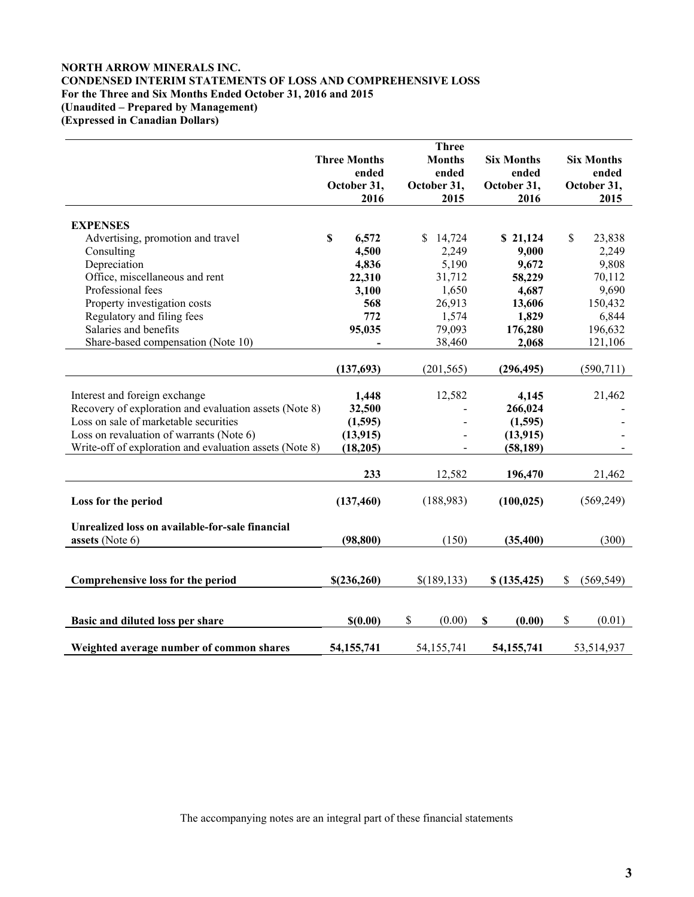### **NORTH ARROW MINERALS INC. CONDENSED INTERIM STATEMENTS OF LOSS AND COMPREHENSIVE LOSS For the Three and Six Months Ended October 31, 2016 and 2015 (Unaudited – Prepared by Management) (Expressed in Canadian Dollars)**

|                                                         | <b>Three Months</b> |                          |              | <b>Three</b><br><b>Months</b> |                           | <b>Six Months</b> | <b>Six Months</b> |
|---------------------------------------------------------|---------------------|--------------------------|--------------|-------------------------------|---------------------------|-------------------|-------------------|
|                                                         |                     | ended                    |              | ended                         |                           | ended             | ended             |
|                                                         | October 31,         |                          | October 31,  |                               |                           | October 31,       | October 31,       |
|                                                         |                     | 2016                     |              | 2015                          |                           | 2016              | 2015              |
|                                                         |                     |                          |              |                               |                           |                   |                   |
| <b>EXPENSES</b>                                         |                     |                          |              |                               |                           |                   |                   |
| Advertising, promotion and travel                       | \$                  | 6,572                    | \$           | 14,724                        |                           | \$21,124          | \$<br>23,838      |
| Consulting                                              |                     | 4,500                    |              | 2,249                         |                           | 9,000             | 2,249             |
| Depreciation                                            |                     | 4,836                    |              | 5,190                         |                           | 9,672             | 9,808             |
| Office, miscellaneous and rent                          |                     | 22,310                   |              | 31,712                        |                           | 58,229            | 70,112            |
| Professional fees                                       |                     | 3,100                    |              | 1,650                         |                           | 4,687             | 9,690             |
| Property investigation costs                            |                     | 568                      |              | 26,913                        |                           | 13,606            | 150,432           |
| Regulatory and filing fees                              |                     | 772                      |              | 1,574                         |                           | 1,829             | 6,844             |
| Salaries and benefits                                   |                     | 95,035                   |              | 79,093                        |                           | 176,280           | 196,632           |
| Share-based compensation (Note 10)                      |                     | $\overline{\phantom{a}}$ |              | 38,460                        |                           | 2,068             | 121,106           |
|                                                         |                     |                          |              |                               |                           |                   |                   |
|                                                         | (137,693)           |                          |              | (201, 565)                    |                           | (296, 495)        | (590, 711)        |
| Interest and foreign exchange                           |                     | 1,448                    |              | 12,582                        |                           | 4,145             | 21,462            |
| Recovery of exploration and evaluation assets (Note 8)  |                     | 32,500                   |              |                               |                           | 266,024           |                   |
| Loss on sale of marketable securities                   |                     | (1,595)                  |              |                               |                           | (1,595)           |                   |
| Loss on revaluation of warrants (Note 6)                |                     | (13, 915)                |              |                               |                           | (13, 915)         |                   |
| Write-off of exploration and evaluation assets (Note 8) |                     | (18, 205)                |              |                               |                           | (58, 189)         |                   |
|                                                         |                     |                          |              |                               |                           |                   |                   |
|                                                         |                     | 233                      |              | 12,582                        |                           | 196,470           | 21,462            |
|                                                         |                     |                          |              |                               |                           |                   |                   |
| Loss for the period                                     | (137, 460)          |                          |              | (188,983)                     |                           | (100, 025)        | (569, 249)        |
|                                                         |                     |                          |              |                               |                           |                   |                   |
| Unrealized loss on available-for-sale financial         |                     |                          |              |                               |                           |                   |                   |
| assets (Note 6)                                         |                     | (98, 800)                |              | (150)                         |                           | (35, 400)         | (300)             |
|                                                         |                     |                          |              |                               |                           |                   |                   |
|                                                         |                     |                          |              |                               |                           |                   |                   |
| Comprehensive loss for the period                       | \$(236, 260)        |                          | \$(189, 133) |                               |                           | \$(135, 425)      | \$<br>(569, 549)  |
|                                                         |                     |                          |              |                               |                           |                   |                   |
|                                                         |                     |                          |              |                               |                           |                   |                   |
| Basic and diluted loss per share                        |                     | \$(0.00)                 | \$           | (0.00)                        | $\boldsymbol{\mathsf{S}}$ | (0.00)            | \$<br>(0.01)      |
|                                                         |                     |                          |              |                               |                           |                   |                   |
| Weighted average number of common shares                | 54,155,741          |                          | 54,155,741   |                               |                           | 54, 155, 741      | 53,514,937        |

The accompanying notes are an integral part of these financial statements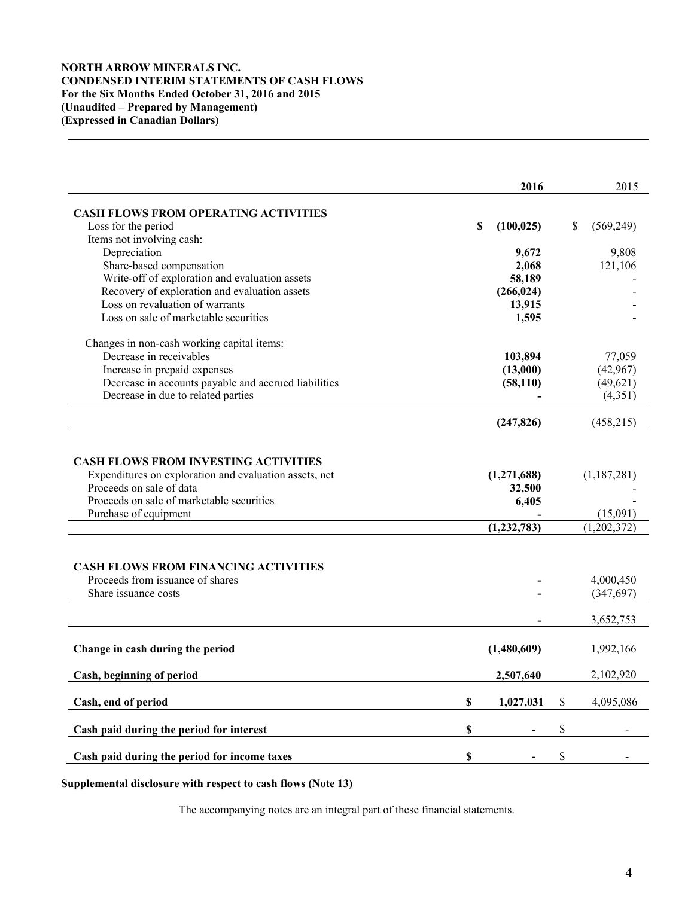### **NORTH ARROW MINERALS INC. CONDENSED INTERIM STATEMENTS OF CASH FLOWS For the Six Months Ended October 31, 2016 and 2015 (Unaudited – Prepared by Management) (Expressed in Canadian Dollars)**

|                                                                                                                                                                                                           |    | 2016                             | 2015                                              |
|-----------------------------------------------------------------------------------------------------------------------------------------------------------------------------------------------------------|----|----------------------------------|---------------------------------------------------|
| <b>CASH FLOWS FROM OPERATING ACTIVITIES</b>                                                                                                                                                               |    |                                  |                                                   |
| Loss for the period                                                                                                                                                                                       | S  | (100, 025)                       | \$<br>(569, 249)                                  |
| Items not involving cash:                                                                                                                                                                                 |    |                                  |                                                   |
| Depreciation                                                                                                                                                                                              |    | 9,672                            | 9,808                                             |
| Share-based compensation                                                                                                                                                                                  |    | 2,068                            | 121,106                                           |
| Write-off of exploration and evaluation assets                                                                                                                                                            |    | 58,189                           |                                                   |
| Recovery of exploration and evaluation assets                                                                                                                                                             |    | (266, 024)                       |                                                   |
| Loss on revaluation of warrants                                                                                                                                                                           |    | 13,915                           |                                                   |
| Loss on sale of marketable securities                                                                                                                                                                     |    | 1,595                            |                                                   |
| Changes in non-cash working capital items:                                                                                                                                                                |    |                                  |                                                   |
| Decrease in receivables                                                                                                                                                                                   |    | 103,894                          | 77,059                                            |
| Increase in prepaid expenses                                                                                                                                                                              |    | (13,000)                         | (42,967)                                          |
| Decrease in accounts payable and accrued liabilities                                                                                                                                                      |    | (58, 110)                        | (49,621)                                          |
| Decrease in due to related parties                                                                                                                                                                        |    |                                  | (4, 351)                                          |
|                                                                                                                                                                                                           |    | (247, 826)                       | (458,215)                                         |
| Proceeds on sale of data<br>Proceeds on sale of marketable securities<br>Purchase of equipment<br><b>CASH FLOWS FROM FINANCING ACTIVITIES</b><br>Proceeds from issuance of shares<br>Share issuance costs |    | 32,500<br>6,405<br>(1, 232, 783) | (15,091)<br>(1,202,372)<br>4,000,450<br>(347,697) |
|                                                                                                                                                                                                           |    |                                  | 3,652,753                                         |
| Change in cash during the period                                                                                                                                                                          |    | (1,480,609)                      | 1,992,166                                         |
| Cash, beginning of period                                                                                                                                                                                 |    | 2,507,640                        | 2,102,920                                         |
| Cash, end of period                                                                                                                                                                                       | \$ | 1,027,031                        | \$<br>4,095,086                                   |
| Cash paid during the period for interest                                                                                                                                                                  | \$ |                                  | \$                                                |
| Cash paid during the period for income taxes                                                                                                                                                              | \$ |                                  | \$                                                |

# **Supplemental disclosure with respect to cash flows (Note 13)**

The accompanying notes are an integral part of these financial statements.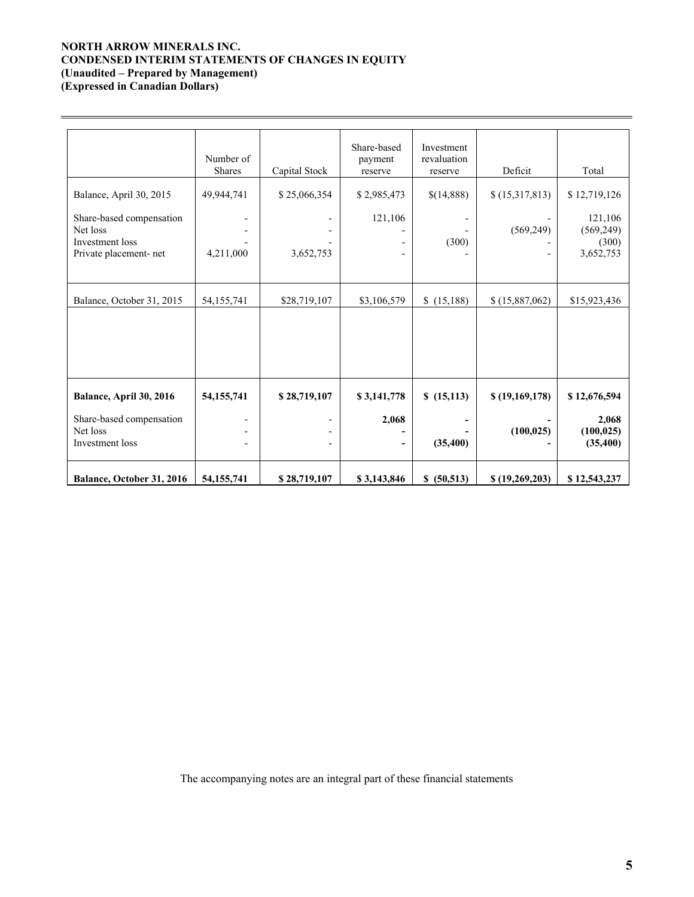### **NORTH ARROW MINERALS INC. CONDENSED INTERIM STATEMENTS OF CHANGES IN EQUITY (Unaudited – Prepared by Management) (Expressed in Canadian Dollars)**

 $\overline{a}$ 

|                                                                                                              | Number of<br><b>Shares</b> | Capital Stock             | Share-based<br>payment<br>reserve | Investment<br>revaluation<br>reserve | Deficit                      | Total                                                       |
|--------------------------------------------------------------------------------------------------------------|----------------------------|---------------------------|-----------------------------------|--------------------------------------|------------------------------|-------------------------------------------------------------|
| Balance, April 30, 2015<br>Share-based compensation<br>Net loss<br>Investment loss<br>Private placement- net | 49,944,741<br>4,211,000    | \$25,066,354<br>3,652,753 | \$2,985,473<br>121,106            | \$(14,888)<br>(300)                  | \$(15,317,813)<br>(569, 249) | \$12,719,126<br>121,106<br>(569, 249)<br>(300)<br>3,652,753 |
| Balance, October 31, 2015                                                                                    | 54,155,741                 | \$28,719,107              | \$3,106,579                       | \$(15,188)                           | \$(15,887,062)               | \$15,923,436                                                |
| Balance, April 30, 2016<br>Share-based compensation<br>Net loss<br>Investment loss                           | 54, 155, 741               | \$28,719,107              | \$3,141,778<br>2,068              | \$(15,113)<br>(35, 400)              | \$(19,169,178)<br>(100, 025) | \$12,676,594<br>2,068<br>(100, 025)<br>(35, 400)            |
| Balance, October 31, 2016                                                                                    | 54, 155, 741               | \$28,719,107              | \$3,143,846                       | \$ (50,513)                          | \$(19,269,203)               | \$12,543,237                                                |

The accompanying notes are an integral part of these financial statements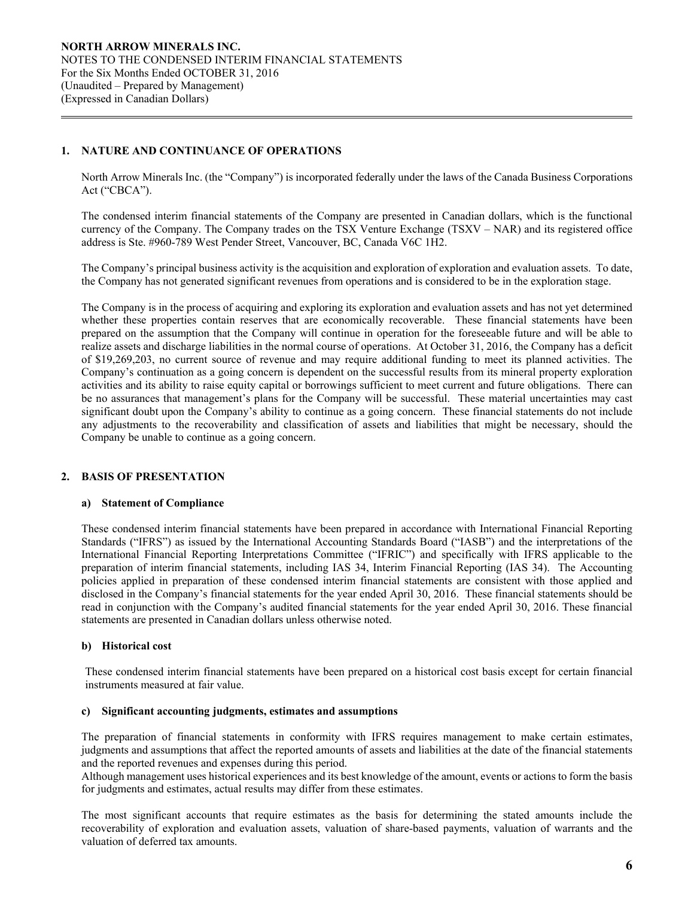### **1. NATURE AND CONTINUANCE OF OPERATIONS**

 $\overline{a}$ 

North Arrow Minerals Inc. (the "Company") is incorporated federally under the laws of the Canada Business Corporations Act ("CBCA").

The condensed interim financial statements of the Company are presented in Canadian dollars, which is the functional currency of the Company. The Company trades on the TSX Venture Exchange (TSXV – NAR) and its registered office address is Ste. #960-789 West Pender Street, Vancouver, BC, Canada V6C 1H2.

The Company's principal business activity is the acquisition and exploration of exploration and evaluation assets. To date, the Company has not generated significant revenues from operations and is considered to be in the exploration stage.

The Company is in the process of acquiring and exploring its exploration and evaluation assets and has not yet determined whether these properties contain reserves that are economically recoverable. These financial statements have been prepared on the assumption that the Company will continue in operation for the foreseeable future and will be able to realize assets and discharge liabilities in the normal course of operations. At October 31, 2016, the Company has a deficit of \$19,269,203, no current source of revenue and may require additional funding to meet its planned activities. The Company's continuation as a going concern is dependent on the successful results from its mineral property exploration activities and its ability to raise equity capital or borrowings sufficient to meet current and future obligations. There can be no assurances that management's plans for the Company will be successful. These material uncertainties may cast significant doubt upon the Company's ability to continue as a going concern. These financial statements do not include any adjustments to the recoverability and classification of assets and liabilities that might be necessary, should the Company be unable to continue as a going concern.

# **2. BASIS OF PRESENTATION**

#### **a) Statement of Compliance**

These condensed interim financial statements have been prepared in accordance with International Financial Reporting Standards ("IFRS") as issued by the International Accounting Standards Board ("IASB") and the interpretations of the International Financial Reporting Interpretations Committee ("IFRIC") and specifically with IFRS applicable to the preparation of interim financial statements, including IAS 34, Interim Financial Reporting (IAS 34). The Accounting policies applied in preparation of these condensed interim financial statements are consistent with those applied and disclosed in the Company's financial statements for the year ended April 30, 2016. These financial statements should be read in conjunction with the Company's audited financial statements for the year ended April 30, 2016. These financial statements are presented in Canadian dollars unless otherwise noted.

### **b) Historical cost**

These condensed interim financial statements have been prepared on a historical cost basis except for certain financial instruments measured at fair value.

#### **c) Significant accounting judgments, estimates and assumptions**

The preparation of financial statements in conformity with IFRS requires management to make certain estimates, judgments and assumptions that affect the reported amounts of assets and liabilities at the date of the financial statements and the reported revenues and expenses during this period.

Although management uses historical experiences and its best knowledge of the amount, events or actions to form the basis for judgments and estimates, actual results may differ from these estimates.

The most significant accounts that require estimates as the basis for determining the stated amounts include the recoverability of exploration and evaluation assets, valuation of share-based payments, valuation of warrants and the valuation of deferred tax amounts.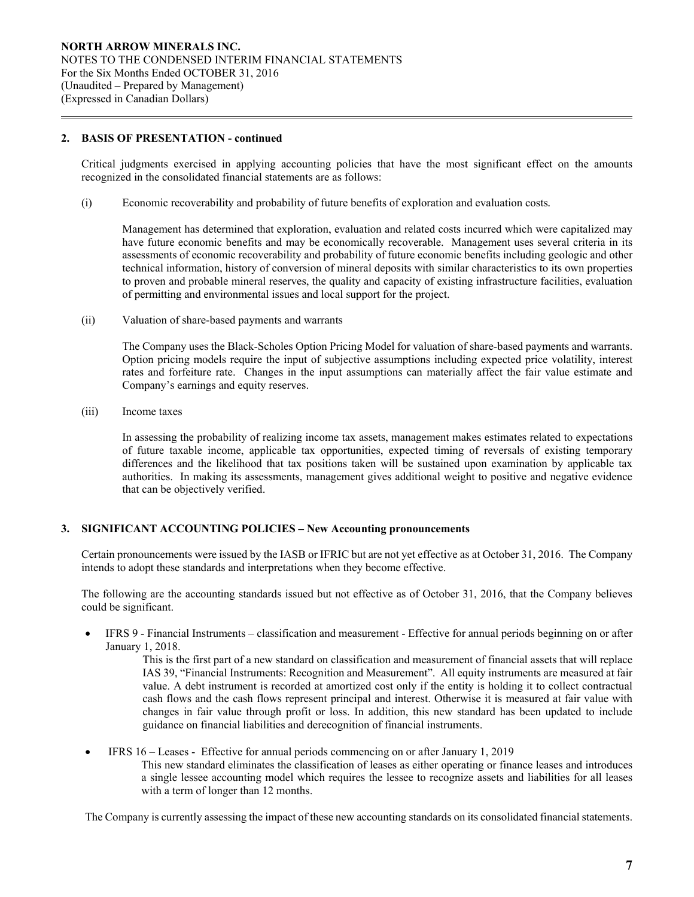### **2. BASIS OF PRESENTATION - continued**

 $\overline{a}$ 

Critical judgments exercised in applying accounting policies that have the most significant effect on the amounts recognized in the consolidated financial statements are as follows:

(i) Economic recoverability and probability of future benefits of exploration and evaluation costs*.* 

 Management has determined that exploration, evaluation and related costs incurred which were capitalized may have future economic benefits and may be economically recoverable. Management uses several criteria in its assessments of economic recoverability and probability of future economic benefits including geologic and other technical information, history of conversion of mineral deposits with similar characteristics to its own properties to proven and probable mineral reserves, the quality and capacity of existing infrastructure facilities, evaluation of permitting and environmental issues and local support for the project.

(ii) Valuation of share-based payments and warrants

The Company uses the Black-Scholes Option Pricing Model for valuation of share-based payments and warrants. Option pricing models require the input of subjective assumptions including expected price volatility, interest rates and forfeiture rate. Changes in the input assumptions can materially affect the fair value estimate and Company's earnings and equity reserves.

(iii) Income taxes

In assessing the probability of realizing income tax assets, management makes estimates related to expectations of future taxable income, applicable tax opportunities, expected timing of reversals of existing temporary differences and the likelihood that tax positions taken will be sustained upon examination by applicable tax authorities. In making its assessments, management gives additional weight to positive and negative evidence that can be objectively verified.

### **3. SIGNIFICANT ACCOUNTING POLICIES – New Accounting pronouncements**

Certain pronouncements were issued by the IASB or IFRIC but are not yet effective as at October 31, 2016. The Company intends to adopt these standards and interpretations when they become effective.

The following are the accounting standards issued but not effective as of October 31, 2016, that the Company believes could be significant.

 IFRS 9 - Financial Instruments – classification and measurement - Effective for annual periods beginning on or after January 1, 2018.

> This is the first part of a new standard on classification and measurement of financial assets that will replace IAS 39, "Financial Instruments: Recognition and Measurement". All equity instruments are measured at fair value. A debt instrument is recorded at amortized cost only if the entity is holding it to collect contractual cash flows and the cash flows represent principal and interest. Otherwise it is measured at fair value with changes in fair value through profit or loss. In addition, this new standard has been updated to include guidance on financial liabilities and derecognition of financial instruments.

 IFRS 16 – Leases - Effective for annual periods commencing on or after January 1, 2019 This new standard eliminates the classification of leases as either operating or finance leases and introduces a single lessee accounting model which requires the lessee to recognize assets and liabilities for all leases with a term of longer than 12 months.

The Company is currently assessing the impact of these new accounting standards on its consolidated financial statements.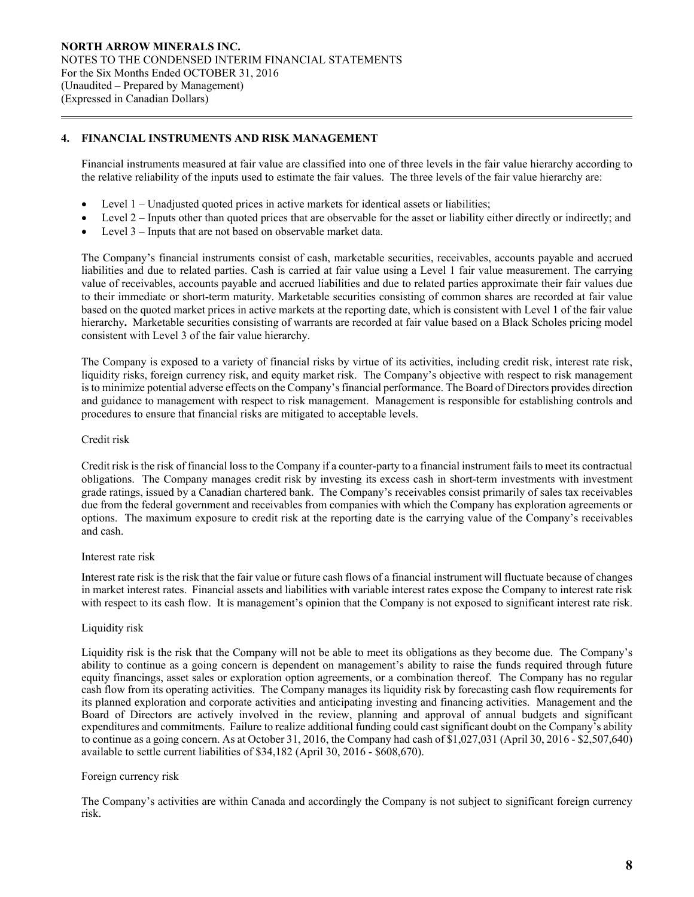### **4. FINANCIAL INSTRUMENTS AND RISK MANAGEMENT**

Financial instruments measured at fair value are classified into one of three levels in the fair value hierarchy according to the relative reliability of the inputs used to estimate the fair values. The three levels of the fair value hierarchy are:

- Level 1 Unadjusted quoted prices in active markets for identical assets or liabilities;
- Level 2 Inputs other than quoted prices that are observable for the asset or liability either directly or indirectly; and
- Level 3 Inputs that are not based on observable market data.

The Company's financial instruments consist of cash, marketable securities, receivables, accounts payable and accrued liabilities and due to related parties. Cash is carried at fair value using a Level 1 fair value measurement. The carrying value of receivables, accounts payable and accrued liabilities and due to related parties approximate their fair values due to their immediate or short-term maturity. Marketable securities consisting of common shares are recorded at fair value based on the quoted market prices in active markets at the reporting date, which is consistent with Level 1 of the fair value hierarchy**.** Marketable securities consisting of warrants are recorded at fair value based on a Black Scholes pricing model consistent with Level 3 of the fair value hierarchy.

The Company is exposed to a variety of financial risks by virtue of its activities, including credit risk, interest rate risk, liquidity risks, foreign currency risk, and equity market risk. The Company's objective with respect to risk management is to minimize potential adverse effects on the Company's financial performance. The Board of Directors provides direction and guidance to management with respect to risk management. Management is responsible for establishing controls and procedures to ensure that financial risks are mitigated to acceptable levels.

### Credit risk

 $\overline{a}$ 

Credit risk is the risk of financial loss to the Company if a counter-party to a financial instrument fails to meet its contractual obligations. The Company manages credit risk by investing its excess cash in short-term investments with investment grade ratings, issued by a Canadian chartered bank. The Company's receivables consist primarily of sales tax receivables due from the federal government and receivables from companies with which the Company has exploration agreements or options. The maximum exposure to credit risk at the reporting date is the carrying value of the Company's receivables and cash.

#### Interest rate risk

Interest rate risk is the risk that the fair value or future cash flows of a financial instrument will fluctuate because of changes in market interest rates. Financial assets and liabilities with variable interest rates expose the Company to interest rate risk with respect to its cash flow. It is management's opinion that the Company is not exposed to significant interest rate risk.

### Liquidity risk

Liquidity risk is the risk that the Company will not be able to meet its obligations as they become due. The Company's ability to continue as a going concern is dependent on management's ability to raise the funds required through future equity financings, asset sales or exploration option agreements, or a combination thereof. The Company has no regular cash flow from its operating activities. The Company manages its liquidity risk by forecasting cash flow requirements for its planned exploration and corporate activities and anticipating investing and financing activities. Management and the Board of Directors are actively involved in the review, planning and approval of annual budgets and significant expenditures and commitments. Failure to realize additional funding could cast significant doubt on the Company's ability to continue as a going concern. As at October 31, 2016, the Company had cash of \$1,027,031 (April 30, 2016 - \$2,507,640) available to settle current liabilities of \$34,182 (April 30, 2016 - \$608,670).

### Foreign currency risk

 The Company's activities are within Canada and accordingly the Company is not subject to significant foreign currency risk.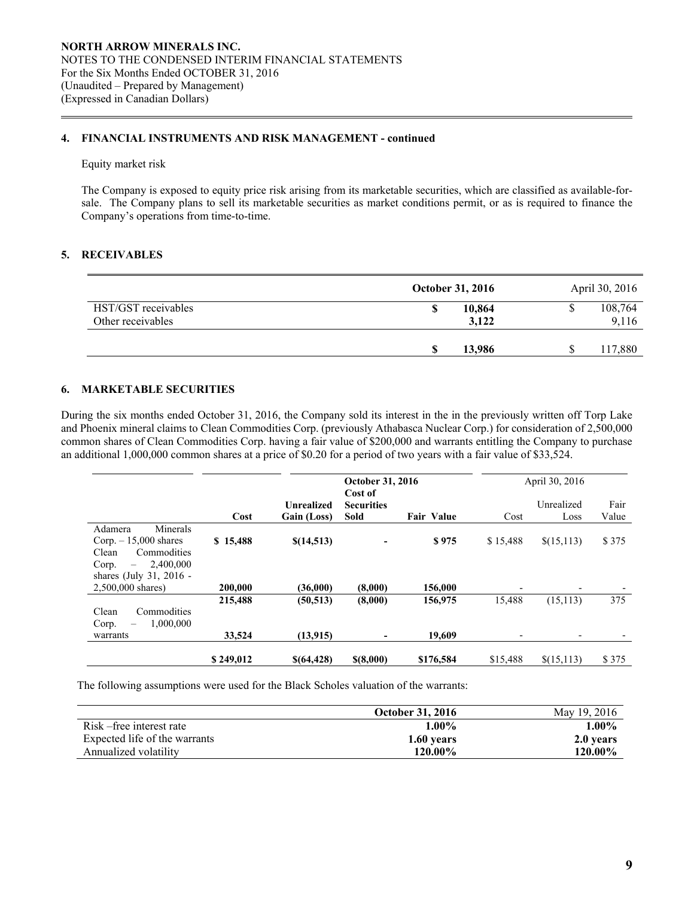### **4. FINANCIAL INSTRUMENTS AND RISK MANAGEMENT - continued**

#### Equity market risk

 $\overline{a}$ 

The Company is exposed to equity price risk arising from its marketable securities, which are classified as available-forsale. The Company plans to sell its marketable securities as market conditions permit, or as is required to finance the Company's operations from time-to-time.

### **5. RECEIVABLES**

|                                          | <b>October 31, 2016</b> | April 30, 2016   |
|------------------------------------------|-------------------------|------------------|
| HST/GST receivables<br>Other receivables | 10,864<br>3,122         | 108,764<br>9,116 |
|                                          | 13,986                  | 117,880          |

# **6. MARKETABLE SECURITIES**

During the six months ended October 31, 2016, the Company sold its interest in the in the previously written off Torp Lake and Phoenix mineral claims to Clean Commodities Corp. (previously Athabasca Nuclear Corp.) for consideration of 2,500,000 common shares of Clean Commodities Corp. having a fair value of \$200,000 and warrants entitling the Company to purchase an additional 1,000,000 common shares at a price of \$0.20 for a period of two years with a fair value of \$33,524.

|                                                                                                                                             |           |                                  | <b>October 31, 2016</b><br>Cost of |                   |                          | April 30, 2016     |               |
|---------------------------------------------------------------------------------------------------------------------------------------------|-----------|----------------------------------|------------------------------------|-------------------|--------------------------|--------------------|---------------|
|                                                                                                                                             | Cost      | <b>Unrealized</b><br>Gain (Loss) | <b>Securities</b><br>Sold          | <b>Fair Value</b> | Cost                     | Unrealized<br>Loss | Fair<br>Value |
| Minerals<br>Adamera<br>$Corp. -15,000$ shares<br>Clean<br>Commodities<br>2,400,000<br>Corp.<br>$\qquad \qquad -$<br>shares (July 31, 2016 - | \$15,488  | \$(14,513)                       |                                    | \$975             | \$15,488                 | \$(15,113)         | \$375         |
| 2,500,000 shares)                                                                                                                           | 200,000   | (36,000)                         | (8,000)                            | 156,000           | $\overline{\phantom{0}}$ |                    |               |
| Clean<br>Commodities<br>1,000,000<br>Corp.<br>$\overline{\phantom{0}}$                                                                      | 215,488   | (50, 513)                        | (8,000)                            | 156,975           | 15,488                   | (15, 113)          | 375           |
| warrants                                                                                                                                    | 33,524    | (13,915)                         | -                                  | 19,609            | $\overline{\phantom{0}}$ | ٠                  |               |
|                                                                                                                                             | \$249,012 | \$(64,428)                       | \$(8,000)                          | \$176,584         | \$15,488                 | \$(15,113)         | \$375         |

The following assumptions were used for the Black Scholes valuation of the warrants:

|                               | <b>October 31, 2016</b> | May 19, 2016 |
|-------------------------------|-------------------------|--------------|
| Risk – free interest rate     | $1.00\%$                | $1.00\%$     |
| Expected life of the warrants | 1.60 years              | 2.0 years    |
| Annualized volatility         | 120.00%                 | 120.00%      |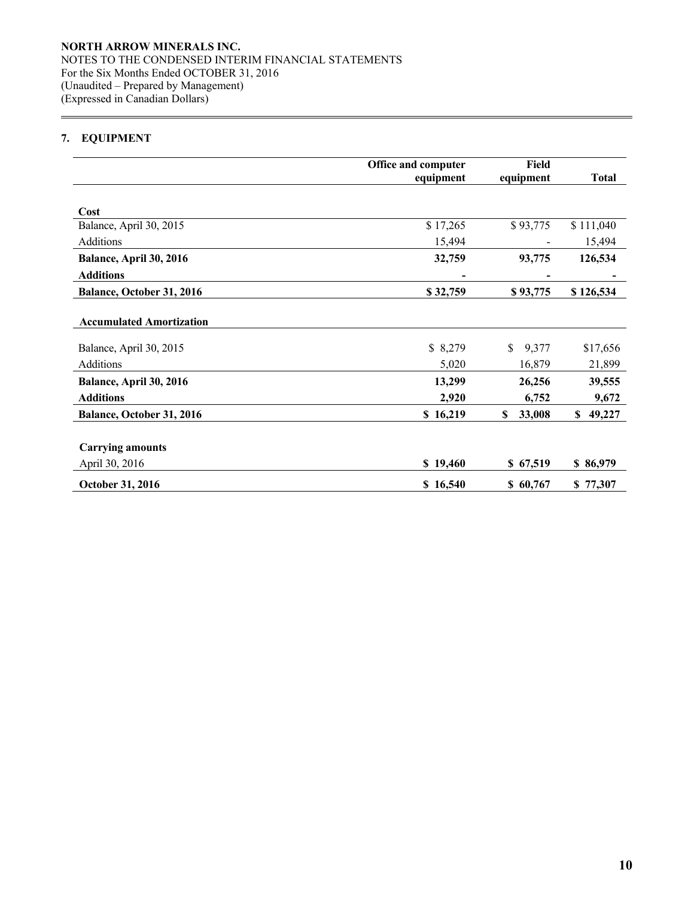# **7. EQUIPMENT**

 $\overline{a}$ 

|                                 | Office and computer | Field        |              |
|---------------------------------|---------------------|--------------|--------------|
|                                 | equipment           | equipment    | <b>Total</b> |
|                                 |                     |              |              |
| Cost                            |                     |              |              |
| Balance, April 30, 2015         | \$17,265            | \$93,775     | \$111,040    |
| Additions                       | 15,494              |              | 15,494       |
| Balance, April 30, 2016         | 32,759              | 93,775       | 126,534      |
| <b>Additions</b>                |                     |              |              |
| Balance, October 31, 2016       | \$32,759            | \$93,775     | \$126,534    |
|                                 |                     |              |              |
| <b>Accumulated Amortization</b> |                     |              |              |
| Balance, April 30, 2015         | \$8,279             | 9,377<br>S.  | \$17,656     |
| Additions                       | 5,020               | 16,879       | 21,899       |
| Balance, April 30, 2016         | 13,299              | 26,256       | 39,555       |
| <b>Additions</b>                | 2,920               | 6,752        | 9,672        |
| Balance, October 31, 2016       | \$16,219            | 33,008<br>S. | \$49,227     |
|                                 |                     |              |              |
| <b>Carrying amounts</b>         |                     |              |              |
| April 30, 2016                  | \$19,460            | \$67,519     | \$86,979     |
| October 31, 2016                | \$16,540            | \$60,767     | \$77,307     |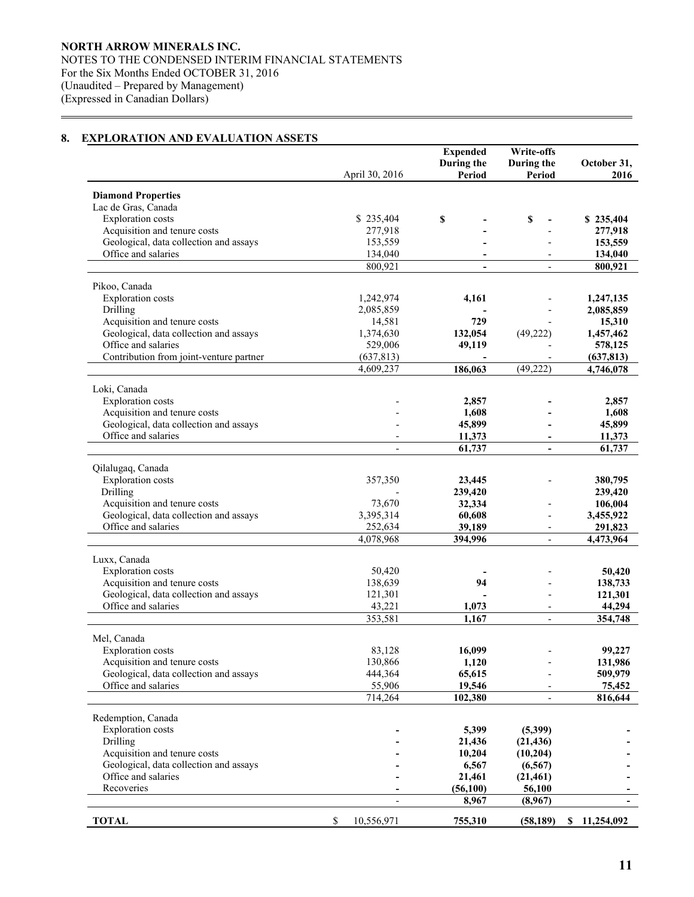# **8. EXPLORATION AND EVALUATION ASSETS**

 $\overline{a}$ 

|                                                               |                          | <b>Expended</b><br>During the | Write-offs<br>During the | October 31,         |
|---------------------------------------------------------------|--------------------------|-------------------------------|--------------------------|---------------------|
|                                                               | April 30, 2016           | Period                        | Period                   | 2016                |
| <b>Diamond Properties</b>                                     |                          |                               |                          |                     |
| Lac de Gras, Canada                                           |                          |                               |                          |                     |
| <b>Exploration</b> costs                                      | \$235,404                | \$                            | \$                       | \$235,404           |
| Acquisition and tenure costs                                  | 277,918                  |                               |                          | 277,918             |
| Geological, data collection and assays                        | 153,559                  |                               |                          | 153,559             |
| Office and salaries                                           | 134,040                  |                               |                          | 134,040             |
|                                                               | 800,921                  | $\overline{\phantom{a}}$      |                          | 800,921             |
|                                                               |                          |                               |                          |                     |
| Pikoo, Canada                                                 |                          |                               |                          |                     |
| <b>Exploration</b> costs<br>Drilling                          | 1,242,974<br>2,085,859   | 4,161                         |                          | 1,247,135           |
| Acquisition and tenure costs                                  | 14,581                   | 729                           |                          | 2,085,859<br>15,310 |
| Geological, data collection and assays                        | 1,374,630                | 132,054                       | (49, 222)                | 1,457,462           |
| Office and salaries                                           | 529,006                  | 49,119                        |                          | 578,125             |
| Contribution from joint-venture partner                       | (637, 813)               |                               |                          | (637, 813)          |
|                                                               | 4,609,237                | 186,063                       | (49, 222)                | 4,746,078           |
|                                                               |                          |                               |                          |                     |
| Loki, Canada                                                  |                          |                               |                          |                     |
| <b>Exploration</b> costs                                      |                          | 2,857                         |                          | 2,857               |
| Acquisition and tenure costs                                  |                          | 1,608                         |                          | 1,608               |
| Geological, data collection and assays                        |                          | 45,899                        |                          | 45,899              |
| Office and salaries                                           |                          | 11,373<br>61,737              | $\blacksquare$           | 11,373              |
|                                                               |                          |                               |                          | 61,737              |
| Qilalugaq, Canada                                             |                          |                               |                          |                     |
| <b>Exploration</b> costs                                      | 357,350                  | 23,445                        |                          | 380,795             |
| Drilling                                                      |                          | 239,420                       |                          | 239,420             |
| Acquisition and tenure costs                                  | 73,670                   | 32,334                        |                          | 106,004             |
| Geological, data collection and assays                        | 3,395,314                | 60,608                        |                          | 3,455,922           |
| Office and salaries                                           | 252,634                  | 39,189                        | $\overline{\phantom{a}}$ | 291,823             |
|                                                               | 4,078,968                | 394,996                       | $\overline{\phantom{a}}$ | 4,473,964           |
| Luxx, Canada                                                  |                          |                               |                          |                     |
| <b>Exploration</b> costs                                      | 50,420                   |                               |                          | 50,420              |
| Acquisition and tenure costs                                  | 138,639                  | 94                            |                          | 138,733             |
| Geological, data collection and assays                        | 121,301                  |                               |                          | 121,301             |
| Office and salaries                                           | 43,221                   | 1,073                         | $\overline{\phantom{0}}$ | 44,294              |
|                                                               | 353,581                  | 1,167                         |                          | 354,748             |
|                                                               |                          |                               |                          |                     |
| Mel, Canada<br><b>Exploration costs</b>                       | 83,128                   |                               |                          |                     |
| Acquisition and tenure costs                                  | 130,866                  | 16,099<br>1,120               |                          | 99,227<br>131,986   |
| Geological, data collection and assays                        | 444,364                  | 65,615                        |                          | 509,979             |
| Office and salaries                                           | 55,906                   | 19,546                        |                          | 75,452              |
|                                                               | 714,264                  | 102,380                       | $\overline{a}$           | 816,644             |
|                                                               |                          |                               |                          |                     |
| Redemption, Canada                                            |                          |                               |                          |                     |
| <b>Exploration</b> costs                                      |                          | 5,399                         | (5,399)                  |                     |
| Drilling                                                      |                          | 21,436                        | (21, 436)                |                     |
| Acquisition and tenure costs                                  |                          | 10,204                        | (10,204)                 |                     |
| Geological, data collection and assays<br>Office and salaries |                          | 6,567                         | (6, 567)                 |                     |
| Recoveries                                                    |                          | 21,461                        | (21, 461)                |                     |
|                                                               | $\overline{\phantom{a}}$ | (56,100)<br>8,967             | 56,100<br>(8,967)        |                     |
|                                                               |                          |                               |                          |                     |
| <b>TOTAL</b>                                                  | \$<br>10,556,971         | 755,310                       | (58, 189)                | \$11,254,092        |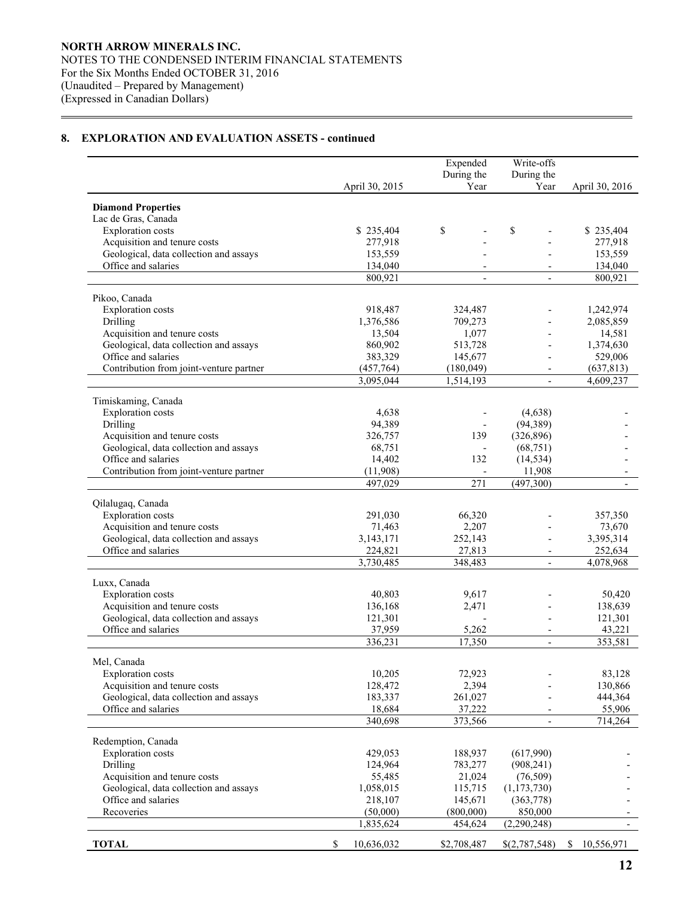$\overline{a}$ 

|                                                               |                        | Expended             | Write-offs               |                  |
|---------------------------------------------------------------|------------------------|----------------------|--------------------------|------------------|
|                                                               |                        | During the           | During the               |                  |
|                                                               | April 30, 2015         | Year                 | Year                     | April 30, 2016   |
| <b>Diamond Properties</b>                                     |                        |                      |                          |                  |
| Lac de Gras, Canada                                           |                        |                      |                          |                  |
| <b>Exploration</b> costs                                      | \$235,404              | \$                   | \$                       | \$235,404        |
| Acquisition and tenure costs                                  | 277,918                |                      |                          | 277,918          |
| Geological, data collection and assays                        | 153,559                |                      |                          | 153,559          |
| Office and salaries                                           | 134,040                |                      |                          | 134,040          |
|                                                               | 800,921                | $\blacksquare$       | $\mathbf{r}$             | 800,921          |
| Pikoo, Canada                                                 |                        |                      |                          |                  |
| <b>Exploration</b> costs                                      | 918,487                | 324,487              |                          | 1,242,974        |
| Drilling                                                      | 1,376,586              | 709,273              |                          | 2,085,859        |
| Acquisition and tenure costs                                  | 13,504                 | 1,077                |                          | 14,581           |
| Geological, data collection and assays                        | 860,902                | 513,728              |                          | 1,374,630        |
| Office and salaries                                           | 383,329                | 145,677              |                          | 529,006          |
| Contribution from joint-venture partner                       | (457,764)              | (180, 049)           |                          | (637, 813)       |
|                                                               | 3,095,044              | 1,514,193            | $\overline{\phantom{a}}$ | 4,609,237        |
| Timiskaming, Canada                                           |                        |                      |                          |                  |
| <b>Exploration</b> costs                                      | 4,638                  |                      | (4,638)                  |                  |
| Drilling                                                      | 94,389                 |                      | (94, 389)                |                  |
| Acquisition and tenure costs                                  | 326,757                | 139                  | (326, 896)               |                  |
| Geological, data collection and assays                        | 68,751                 |                      | (68, 751)                |                  |
| Office and salaries                                           | 14,402                 | 132                  | (14, 534)                |                  |
| Contribution from joint-venture partner                       | (11,908)               |                      | 11,908                   |                  |
|                                                               | 497,029                | 271                  | (497,300)                |                  |
| Qilalugaq, Canada                                             |                        |                      |                          |                  |
| <b>Exploration</b> costs                                      | 291,030                | 66,320               |                          | 357,350          |
| Acquisition and tenure costs                                  | 71,463                 | 2,207                |                          | 73,670           |
| Geological, data collection and assays                        | 3,143,171              | 252,143              |                          | 3,395,314        |
| Office and salaries                                           | 224,821                | 27,813               |                          | 252,634          |
|                                                               | $\overline{3,730,485}$ | 348,483              | $\blacksquare$           | 4,078,968        |
| Luxx, Canada                                                  |                        |                      |                          |                  |
| <b>Exploration</b> costs                                      | 40,803                 | 9,617                |                          | 50,420           |
| Acquisition and tenure costs                                  | 136,168                | 2,471                |                          | 138,639          |
| Geological, data collection and assays                        | 121,301                |                      |                          | 121,301          |
| Office and salaries                                           | 37,959                 | 5,262                | $\overline{\phantom{a}}$ | 43,221           |
|                                                               | 336,231                | 17,350               | $\blacksquare$           | 353,581          |
| Mel, Canada                                                   |                        |                      |                          |                  |
| <b>Exploration</b> costs                                      | 10,205                 | 72,923               |                          | 83,128           |
| Acquisition and tenure costs                                  | 128,472                | 2,394                |                          | 130,866          |
| Geological, data collection and assays                        | 183,337                | 261,027              |                          | 444,364          |
| Office and salaries                                           | 18,684                 | 37,222               |                          | 55,906           |
|                                                               | 340,698                | 373,566              |                          | 714,264          |
|                                                               |                        |                      |                          |                  |
| Redemption, Canada                                            |                        |                      |                          |                  |
| <b>Exploration</b> costs<br>Drilling                          | 429,053                | 188,937              | (617,990)                |                  |
| Acquisition and tenure costs                                  | 124,964                | 783,277              | (908, 241)               |                  |
|                                                               | 55,485                 | 21,024               | (76, 509)                |                  |
| Geological, data collection and assays<br>Office and salaries | 1,058,015              | 115,715              | (1, 173, 730)            |                  |
| Recoveries                                                    | 218,107<br>(50,000)    | 145,671<br>(800,000) | (363,778)<br>850,000     |                  |
|                                                               | 1,835,624              | 454,624              | (2,290,248)              |                  |
|                                                               |                        |                      |                          |                  |
| <b>TOTAL</b>                                                  | \$<br>10,636,032       | \$2,708,487          | \$(2,787,548)            | \$<br>10,556,971 |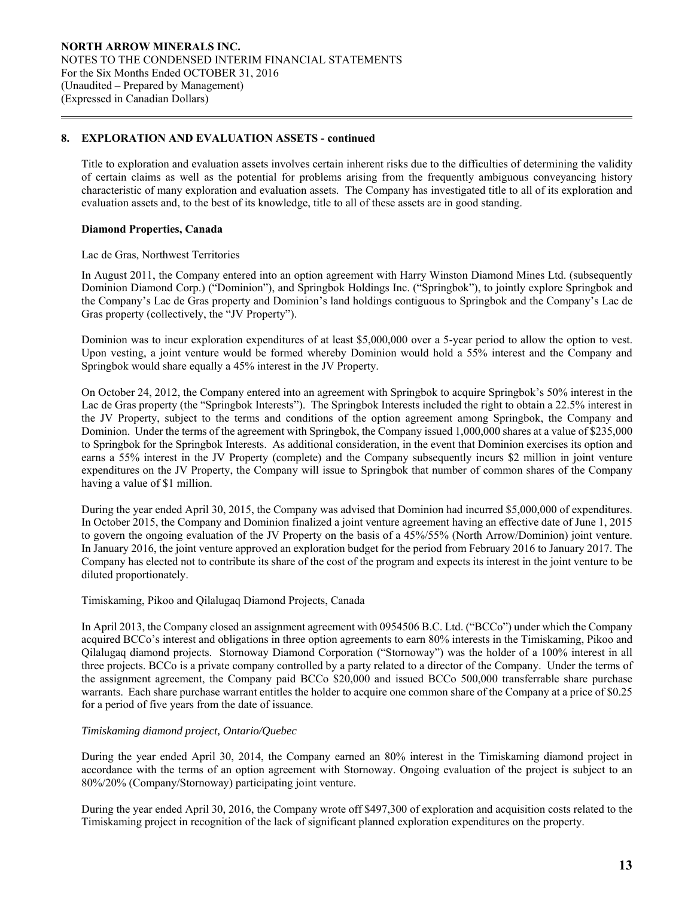Title to exploration and evaluation assets involves certain inherent risks due to the difficulties of determining the validity of certain claims as well as the potential for problems arising from the frequently ambiguous conveyancing history characteristic of many exploration and evaluation assets. The Company has investigated title to all of its exploration and evaluation assets and, to the best of its knowledge, title to all of these assets are in good standing.

#### **Diamond Properties, Canada**

 $\overline{a}$ 

#### Lac de Gras, Northwest Territories

In August 2011, the Company entered into an option agreement with Harry Winston Diamond Mines Ltd. (subsequently Dominion Diamond Corp.) ("Dominion"), and Springbok Holdings Inc. ("Springbok"), to jointly explore Springbok and the Company's Lac de Gras property and Dominion's land holdings contiguous to Springbok and the Company's Lac de Gras property (collectively, the "JV Property").

Dominion was to incur exploration expenditures of at least \$5,000,000 over a 5-year period to allow the option to vest. Upon vesting, a joint venture would be formed whereby Dominion would hold a 55% interest and the Company and Springbok would share equally a 45% interest in the JV Property.

On October 24, 2012, the Company entered into an agreement with Springbok to acquire Springbok's 50% interest in the Lac de Gras property (the "Springbok Interests"). The Springbok Interests included the right to obtain a 22.5% interest in the JV Property, subject to the terms and conditions of the option agreement among Springbok, the Company and Dominion. Under the terms of the agreement with Springbok, the Company issued 1,000,000 shares at a value of \$235,000 to Springbok for the Springbok Interests. As additional consideration, in the event that Dominion exercises its option and earns a 55% interest in the JV Property (complete) and the Company subsequently incurs \$2 million in joint venture expenditures on the JV Property, the Company will issue to Springbok that number of common shares of the Company having a value of \$1 million.

During the year ended April 30, 2015, the Company was advised that Dominion had incurred \$5,000,000 of expenditures. In October 2015, the Company and Dominion finalized a joint venture agreement having an effective date of June 1, 2015 to govern the ongoing evaluation of the JV Property on the basis of a 45%/55% (North Arrow/Dominion) joint venture. In January 2016, the joint venture approved an exploration budget for the period from February 2016 to January 2017. The Company has elected not to contribute its share of the cost of the program and expects its interest in the joint venture to be diluted proportionately.

#### Timiskaming, Pikoo and Qilalugaq Diamond Projects, Canada

In April 2013, the Company closed an assignment agreement with 0954506 B.C. Ltd. ("BCCo") under which the Company acquired BCCo's interest and obligations in three option agreements to earn 80% interests in the Timiskaming, Pikoo and Qilalugaq diamond projects. Stornoway Diamond Corporation ("Stornoway") was the holder of a 100% interest in all three projects. BCCo is a private company controlled by a party related to a director of the Company. Under the terms of the assignment agreement, the Company paid BCCo \$20,000 and issued BCCo 500,000 transferrable share purchase warrants. Each share purchase warrant entitles the holder to acquire one common share of the Company at a price of \$0.25 for a period of five years from the date of issuance.

### *Timiskaming diamond project, Ontario/Quebec*

 During the year ended April 30, 2014, the Company earned an 80% interest in the Timiskaming diamond project in accordance with the terms of an option agreement with Stornoway. Ongoing evaluation of the project is subject to an 80%/20% (Company/Stornoway) participating joint venture.

 During the year ended April 30, 2016, the Company wrote off \$497,300 of exploration and acquisition costs related to the Timiskaming project in recognition of the lack of significant planned exploration expenditures on the property.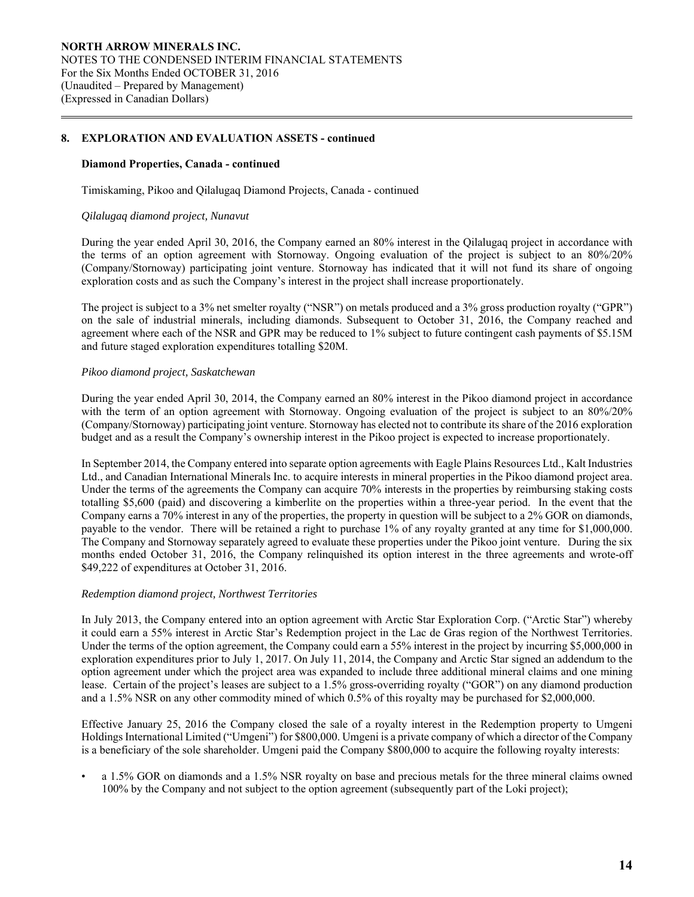#### **Diamond Properties, Canada - continued**

Timiskaming, Pikoo and Qilalugaq Diamond Projects, Canada - continued

#### *Qilalugaq diamond project, Nunavut*

 $\overline{a}$ 

During the year ended April 30, 2016, the Company earned an 80% interest in the Qilalugaq project in accordance with the terms of an option agreement with Stornoway. Ongoing evaluation of the project is subject to an 80%/20% (Company/Stornoway) participating joint venture. Stornoway has indicated that it will not fund its share of ongoing exploration costs and as such the Company's interest in the project shall increase proportionately.

The project is subject to a 3% net smelter royalty ("NSR") on metals produced and a 3% gross production royalty ("GPR") on the sale of industrial minerals, including diamonds. Subsequent to October 31, 2016, the Company reached and agreement where each of the NSR and GPR may be reduced to 1% subject to future contingent cash payments of \$5.15M and future staged exploration expenditures totalling \$20M.

#### *Pikoo diamond project, Saskatchewan*

During the year ended April 30, 2014, the Company earned an 80% interest in the Pikoo diamond project in accordance with the term of an option agreement with Stornoway. Ongoing evaluation of the project is subject to an 80%/20% (Company/Stornoway) participating joint venture. Stornoway has elected not to contribute its share of the 2016 exploration budget and as a result the Company's ownership interest in the Pikoo project is expected to increase proportionately.

In September 2014, the Company entered into separate option agreements with Eagle Plains Resources Ltd., Kalt Industries Ltd., and Canadian International Minerals Inc. to acquire interests in mineral properties in the Pikoo diamond project area. Under the terms of the agreements the Company can acquire 70% interests in the properties by reimbursing staking costs totalling \$5,600 (paid) and discovering a kimberlite on the properties within a three-year period. In the event that the Company earns a 70% interest in any of the properties, the property in question will be subject to a 2% GOR on diamonds, payable to the vendor. There will be retained a right to purchase 1% of any royalty granted at any time for \$1,000,000. The Company and Stornoway separately agreed to evaluate these properties under the Pikoo joint venture. During the six months ended October 31, 2016, the Company relinquished its option interest in the three agreements and wrote-off \$49,222 of expenditures at October 31, 2016.

#### *Redemption diamond project, Northwest Territories*

In July 2013, the Company entered into an option agreement with Arctic Star Exploration Corp. ("Arctic Star") whereby it could earn a 55% interest in Arctic Star's Redemption project in the Lac de Gras region of the Northwest Territories. Under the terms of the option agreement, the Company could earn a 55% interest in the project by incurring \$5,000,000 in exploration expenditures prior to July 1, 2017. On July 11, 2014, the Company and Arctic Star signed an addendum to the option agreement under which the project area was expanded to include three additional mineral claims and one mining lease. Certain of the project's leases are subject to a 1.5% gross-overriding royalty ("GOR") on any diamond production and a 1.5% NSR on any other commodity mined of which 0.5% of this royalty may be purchased for \$2,000,000.

Effective January 25, 2016 the Company closed the sale of a royalty interest in the Redemption property to Umgeni Holdings International Limited ("Umgeni") for \$800,000. Umgeni is a private company of which a director of the Company is a beneficiary of the sole shareholder. Umgeni paid the Company \$800,000 to acquire the following royalty interests:

• a 1.5% GOR on diamonds and a 1.5% NSR royalty on base and precious metals for the three mineral claims owned 100% by the Company and not subject to the option agreement (subsequently part of the Loki project);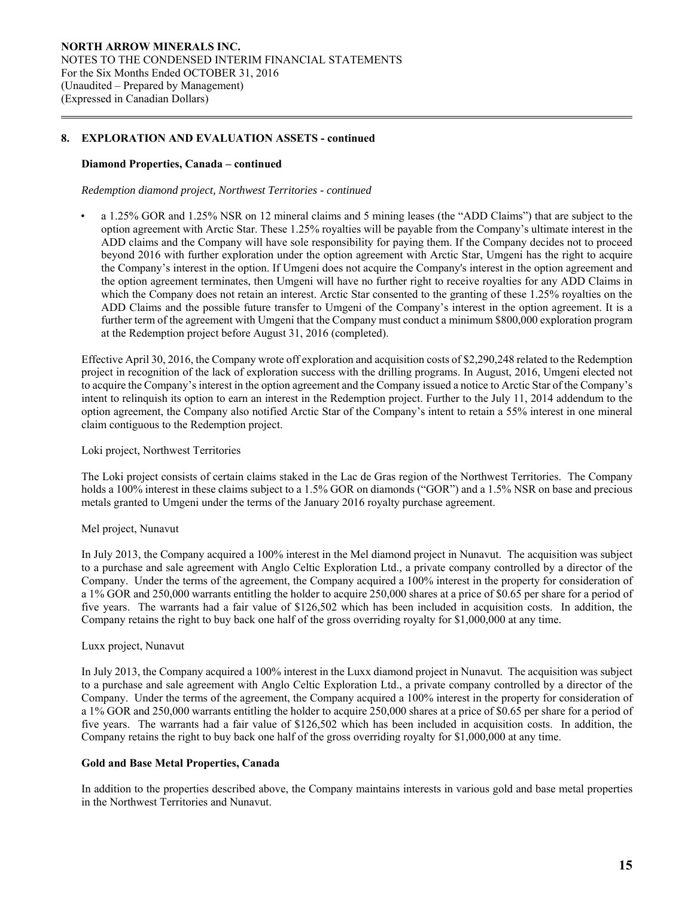#### **Diamond Properties, Canada – continued**

 $\overline{a}$ 

#### *Redemption diamond project, Northwest Territories - continued*

• a 1.25% GOR and 1.25% NSR on 12 mineral claims and 5 mining leases (the "ADD Claims") that are subject to the option agreement with Arctic Star. These 1.25% royalties will be payable from the Company's ultimate interest in the ADD claims and the Company will have sole responsibility for paying them. If the Company decides not to proceed beyond 2016 with further exploration under the option agreement with Arctic Star, Umgeni has the right to acquire the Company's interest in the option. If Umgeni does not acquire the Company's interest in the option agreement and the option agreement terminates, then Umgeni will have no further right to receive royalties for any ADD Claims in which the Company does not retain an interest. Arctic Star consented to the granting of these 1.25% royalties on the ADD Claims and the possible future transfer to Umgeni of the Company's interest in the option agreement. It is a further term of the agreement with Umgeni that the Company must conduct a minimum \$800,000 exploration program at the Redemption project before August 31, 2016 (completed).

Effective April 30, 2016, the Company wrote off exploration and acquisition costs of \$2,290,248 related to the Redemption project in recognition of the lack of exploration success with the drilling programs. In August, 2016, Umgeni elected not to acquire the Company's interest in the option agreement and the Company issued a notice to Arctic Star of the Company's intent to relinquish its option to earn an interest in the Redemption project. Further to the July 11, 2014 addendum to the option agreement, the Company also notified Arctic Star of the Company's intent to retain a 55% interest in one mineral claim contiguous to the Redemption project.

#### Loki project, Northwest Territories

The Loki project consists of certain claims staked in the Lac de Gras region of the Northwest Territories. The Company holds a 100% interest in these claims subject to a 1.5% GOR on diamonds ("GOR") and a 1.5% NSR on base and precious metals granted to Umgeni under the terms of the January 2016 royalty purchase agreement.

#### Mel project, Nunavut

In July 2013, the Company acquired a 100% interest in the Mel diamond project in Nunavut. The acquisition was subject to a purchase and sale agreement with Anglo Celtic Exploration Ltd., a private company controlled by a director of the Company. Under the terms of the agreement, the Company acquired a 100% interest in the property for consideration of a 1% GOR and 250,000 warrants entitling the holder to acquire 250,000 shares at a price of \$0.65 per share for a period of five years. The warrants had a fair value of \$126,502 which has been included in acquisition costs. In addition, the Company retains the right to buy back one half of the gross overriding royalty for \$1,000,000 at any time.

#### Luxx project, Nunavut

In July 2013, the Company acquired a 100% interest in the Luxx diamond project in Nunavut. The acquisition was subject to a purchase and sale agreement with Anglo Celtic Exploration Ltd., a private company controlled by a director of the Company. Under the terms of the agreement, the Company acquired a 100% interest in the property for consideration of a 1% GOR and 250,000 warrants entitling the holder to acquire 250,000 shares at a price of \$0.65 per share for a period of five years. The warrants had a fair value of \$126,502 which has been included in acquisition costs. In addition, the Company retains the right to buy back one half of the gross overriding royalty for \$1,000,000 at any time.

### **Gold and Base Metal Properties, Canada**

 In addition to the properties described above, the Company maintains interests in various gold and base metal properties in the Northwest Territories and Nunavut.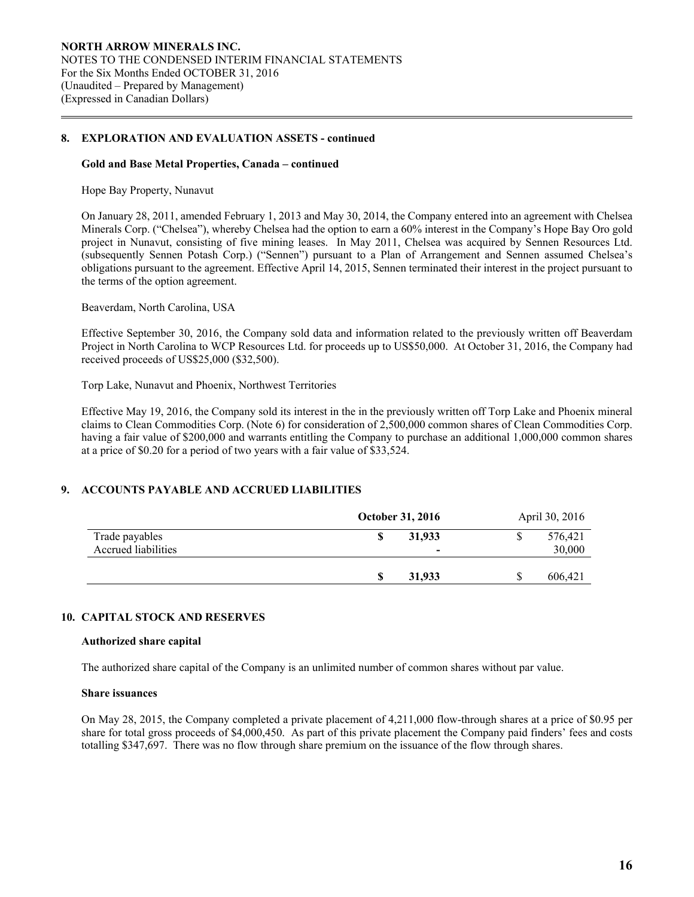#### **Gold and Base Metal Properties, Canada – continued**

Hope Bay Property, Nunavut

 $\overline{a}$ 

On January 28, 2011, amended February 1, 2013 and May 30, 2014, the Company entered into an agreement with Chelsea Minerals Corp. ("Chelsea"), whereby Chelsea had the option to earn a 60% interest in the Company's Hope Bay Oro gold project in Nunavut, consisting of five mining leases. In May 2011, Chelsea was acquired by Sennen Resources Ltd. (subsequently Sennen Potash Corp.) ("Sennen") pursuant to a Plan of Arrangement and Sennen assumed Chelsea's obligations pursuant to the agreement. Effective April 14, 2015, Sennen terminated their interest in the project pursuant to the terms of the option agreement.

Beaverdam, North Carolina, USA

Effective September 30, 2016, the Company sold data and information related to the previously written off Beaverdam Project in North Carolina to WCP Resources Ltd. for proceeds up to US\$50,000. At October 31, 2016, the Company had received proceeds of US\$25,000 (\$32,500).

Torp Lake, Nunavut and Phoenix, Northwest Territories

Effective May 19, 2016, the Company sold its interest in the in the previously written off Torp Lake and Phoenix mineral claims to Clean Commodities Corp. (Note 6) for consideration of 2,500,000 common shares of Clean Commodities Corp. having a fair value of \$200,000 and warrants entitling the Company to purchase an additional 1,000,000 common shares at a price of \$0.20 for a period of two years with a fair value of \$33,524.

### **9. ACCOUNTS PAYABLE AND ACCRUED LIABILITIES**

|                     | <b>October 31, 2016</b> |                          | April 30, 2016 |
|---------------------|-------------------------|--------------------------|----------------|
| Trade payables      |                         | 31,933                   | 576,421        |
| Accrued liabilities |                         | $\overline{\phantom{0}}$ | 30,000         |
|                     |                         |                          |                |
|                     |                         | 31,933                   | 606,421        |

#### **10. CAPITAL STOCK AND RESERVES**

#### **Authorized share capital**

The authorized share capital of the Company is an unlimited number of common shares without par value.

#### **Share issuances**

On May 28, 2015, the Company completed a private placement of 4,211,000 flow-through shares at a price of \$0.95 per share for total gross proceeds of \$4,000,450. As part of this private placement the Company paid finders' fees and costs totalling \$347,697. There was no flow through share premium on the issuance of the flow through shares.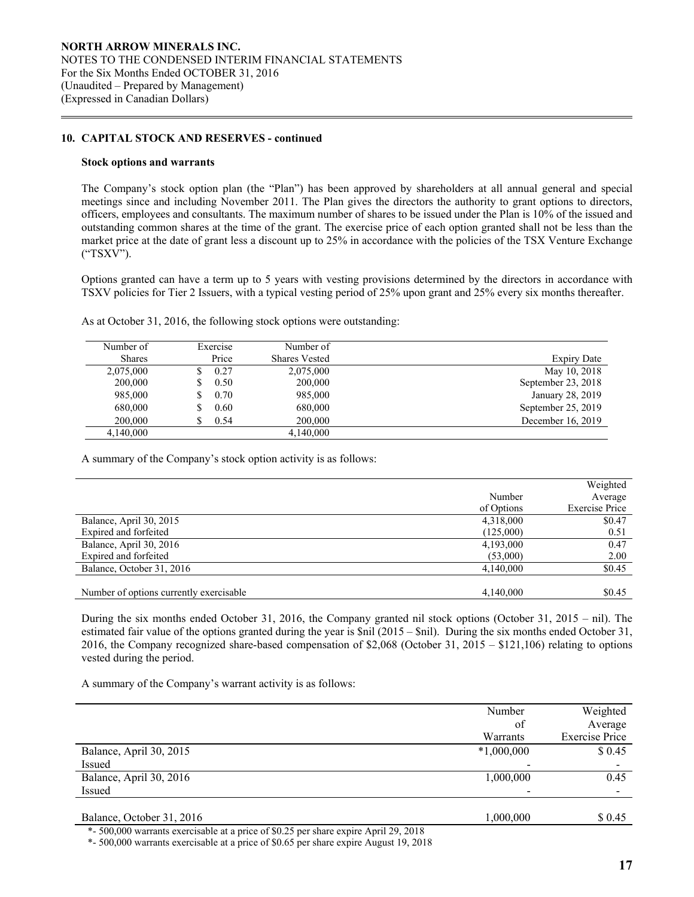#### **10. CAPITAL STOCK AND RESERVES - continued**

#### **Stock options and warrants**

 $\overline{a}$ 

 The Company's stock option plan (the "Plan") has been approved by shareholders at all annual general and special meetings since and including November 2011. The Plan gives the directors the authority to grant options to directors, officers, employees and consultants. The maximum number of shares to be issued under the Plan is 10% of the issued and outstanding common shares at the time of the grant. The exercise price of each option granted shall not be less than the market price at the date of grant less a discount up to 25% in accordance with the policies of the TSX Venture Exchange ("TSXV").

Options granted can have a term up to 5 years with vesting provisions determined by the directors in accordance with TSXV policies for Tier 2 Issuers, with a typical vesting period of 25% upon grant and 25% every six months thereafter.

As at October 31, 2016, the following stock options were outstanding:

| Number of     | Exercise  | Number of            |                    |
|---------------|-----------|----------------------|--------------------|
| <b>Shares</b> | Price     | <b>Shares Vested</b> | <b>Expiry Date</b> |
| 2,075,000     | 0.27      | 2,075,000            | May 10, 2018       |
| 200,000       | 0.50<br>S | 200,000              | September 23, 2018 |
| 985,000       | 0.70      | 985,000              | January 28, 2019   |
| 680,000       | 0.60      | 680,000              | September 25, 2019 |
| 200,000       | 0.54      | 200,000              | December 16, 2019  |
| 4,140,000     |           | 4,140,000            |                    |

A summary of the Company's stock option activity is as follows:

|                                         |            | Weighted              |
|-----------------------------------------|------------|-----------------------|
|                                         | Number     | Average               |
|                                         | of Options | <b>Exercise Price</b> |
| Balance, April 30, 2015                 | 4,318,000  | \$0.47                |
| Expired and forfeited                   | (125,000)  | 0.51                  |
| Balance, April 30, 2016                 | 4,193,000  | 0.47                  |
| Expired and forfeited                   | (53,000)   | 2.00                  |
| Balance, October 31, 2016               | 4,140,000  | \$0.45                |
|                                         |            |                       |
| Number of options currently exercisable | 4,140,000  | \$0.45                |

 During the six months ended October 31, 2016, the Company granted nil stock options (October 31, 2015 – nil). The estimated fair value of the options granted during the year is \$nil (2015 – \$nil). During the six months ended October 31, 2016, the Company recognized share-based compensation of \$2,068 (October 31, 2015 – \$121,106) relating to options vested during the period.

A summary of the Company's warrant activity is as follows:

|                           | Number       | Weighted              |
|---------------------------|--------------|-----------------------|
|                           | of           | Average               |
|                           | Warrants     | <b>Exercise Price</b> |
| Balance, April 30, 2015   | $*1,000,000$ | \$0.45                |
| Issued                    |              |                       |
| Balance, April 30, 2016   | 1,000,000    | 0.45                  |
| Issued                    |              |                       |
|                           |              |                       |
| Balance, October 31, 2016 | 1,000,000    | \$ 0.45               |
|                           |              |                       |

\*- 500,000 warrants exercisable at a price of \$0.25 per share expire April 29, 2018

\*- 500,000 warrants exercisable at a price of \$0.65 per share expire August 19, 2018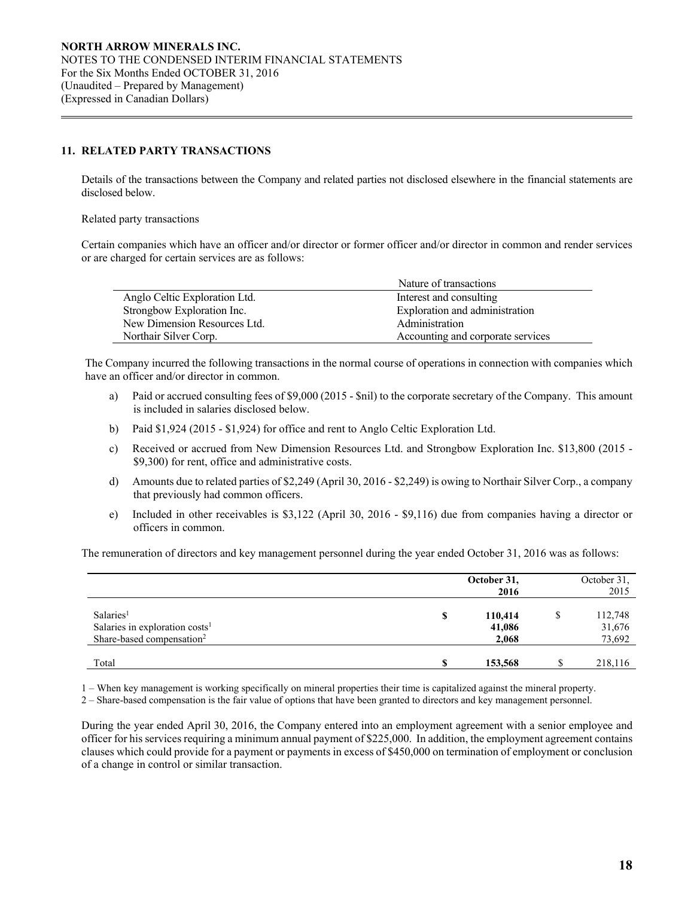### **11. RELATED PARTY TRANSACTIONS**

 Details of the transactions between the Company and related parties not disclosed elsewhere in the financial statements are disclosed below.

Related party transactions

 $\overline{a}$ 

Certain companies which have an officer and/or director or former officer and/or director in common and render services or are charged for certain services are as follows:

|                               | Nature of transactions            |
|-------------------------------|-----------------------------------|
| Anglo Celtic Exploration Ltd. | Interest and consulting           |
| Strongbow Exploration Inc.    | Exploration and administration    |
| New Dimension Resources Ltd.  | Administration                    |
| Northair Silver Corp.         | Accounting and corporate services |

The Company incurred the following transactions in the normal course of operations in connection with companies which have an officer and/or director in common.

- a) Paid or accrued consulting fees of \$9,000 (2015 \$nil) to the corporate secretary of the Company. This amount is included in salaries disclosed below.
- b) Paid \$1,924 (2015 \$1,924) for office and rent to Anglo Celtic Exploration Ltd.
- c) Received or accrued from New Dimension Resources Ltd. and Strongbow Exploration Inc. \$13,800 (2015 \$9,300) for rent, office and administrative costs.
- d) Amounts due to related parties of \$2,249 (April 30, 2016 \$2,249) is owing to Northair Silver Corp., a company that previously had common officers.
- e) Included in other receivables is \$3,122 (April 30, 2016 \$9,116) due from companies having a director or officers in common.

The remuneration of directors and key management personnel during the year ended October 31, 2016 was as follows:

|                                                                                                              |   | October 31,<br>2016        | October 31,<br>2015         |
|--------------------------------------------------------------------------------------------------------------|---|----------------------------|-----------------------------|
| Salaries <sup>1</sup><br>Salaries in exploration costs <sup>1</sup><br>Share-based compensation <sup>2</sup> | S | 110,414<br>41,086<br>2,068 | 112,748<br>31,676<br>73,692 |
| Total                                                                                                        |   | 153,568                    | 218,116                     |

1 – When key management is working specifically on mineral properties their time is capitalized against the mineral property.

2 – Share-based compensation is the fair value of options that have been granted to directors and key management personnel.

During the year ended April 30, 2016, the Company entered into an employment agreement with a senior employee and officer for his services requiring a minimum annual payment of \$225,000. In addition, the employment agreement contains clauses which could provide for a payment or payments in excess of \$450,000 on termination of employment or conclusion of a change in control or similar transaction.